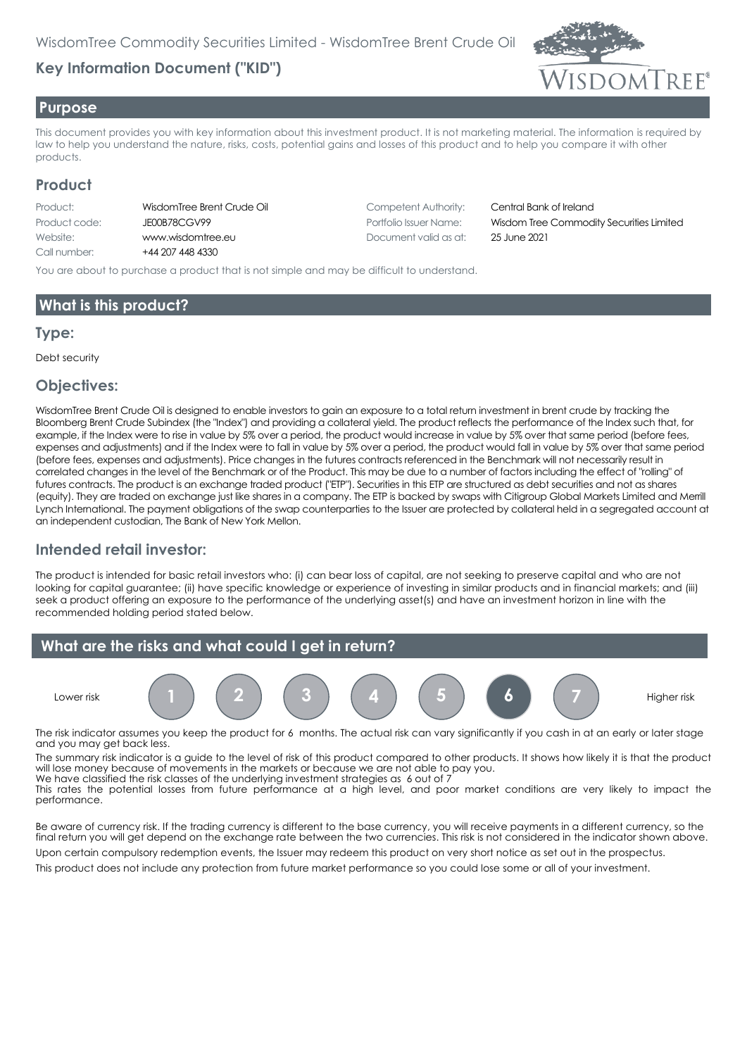# **Key Information Document ("KID")**



#### **Purpose**

This document provides you with key information about this investment product. It is not marketing material. The information is required by law to help you understand the nature, risks, costs, potential gains and losses of this product and to help you compare it with other products.

### **Product**

| Product:      | WisdomTre  |
|---------------|------------|
| Product code: | JE00B78CC  |
| Website:      | www.wisd   |
| Call number:  | $+4420744$ |

R 4330

Product Crude Oil Competent Authority: Central Bank of Ireland Website: www.wisdomtree.eu Document valid as at: 25 June 2021

Product code: JE00B78CGV99 Portfolio Issuer Name: Wisdom Tree Commodity Securities Limited

You are about to purchase a product that is not simple and may be difficult to understand.

## **What is this product?**

#### **Type:**

Debt security

#### **Objectives:**

WisdomTree Brent Crude Oil is designed to enable investors to gain an exposure to a total return investment in brent crude by tracking the Bloomberg Brent Crude Subindex (the "Index") and providing a collateral yield. The product reflects the performance of the Index such that, for example, if the Index were to rise in value by 5% over a period, the product would increase in value by 5% over that same period (before fees, expenses and adjustments) and if the Index were to fall in value by 5% over a period, the product would fall in value by 5% over that same period (before fees, expenses and adjustments). Price changes in the futures contracts referenced in the Benchmark will not necessarily result in correlated changes in the level of the Benchmark or of the Product. This may be due to a number of factors including the effect of "rolling" of futures contracts. The product is an exchange traded product ("ETP"). Securities in this ETP are structured as debt securities and not as shares (equity). They are traded on exchange just like shares in a company. The ETP is backed by swaps with Citigroup Global Markets Limited and Merrill Lynch International. The payment obligations of the swap counterparties to the Issuer are protected by collateral held in a segregated account at an independent custodian, The Bank of New York Mellon.

## **Intended retail investor:**

The product is intended for basic retail investors who: (i) can bear loss of capital, are not seeking to preserve capital and who are not looking for capital guarantee; (ii) have specific knowledge or experience of investing in similar products and in financial markets; and (iii) seek a product offering an exposure to the performance of the underlying asset(s) and have an investment horizon in line with the recommended holding period stated below.



The risk indicator assumes you keep the product for 6 months. The actual risk can vary significantly if you cash in at an early or later stage and you may get back less.

The summary risk indicator is a guide to the level of risk of this product compared to other products. It shows how likely it is that the product will lose money because of movements in the markets or because we are not able to pay you. We have classified the risk classes of the underlying investment strategies as 6 out of 7

This rates the potential losses from future performance at a high level, and poor market conditions are very likely to impact the performance.

Be aware of currency risk. If the trading currency is different to the base currency, you will receive payments in a different currency, so the final return you will get depend on the exchange rate between the two currencies. This risk is not considered in the indicator shown above.

Upon certain compulsory redemption events, the Issuer may redeem this product on very short notice as set out in the prospectus. This product does not include any protection from future market performance so you could lose some or all of your investment.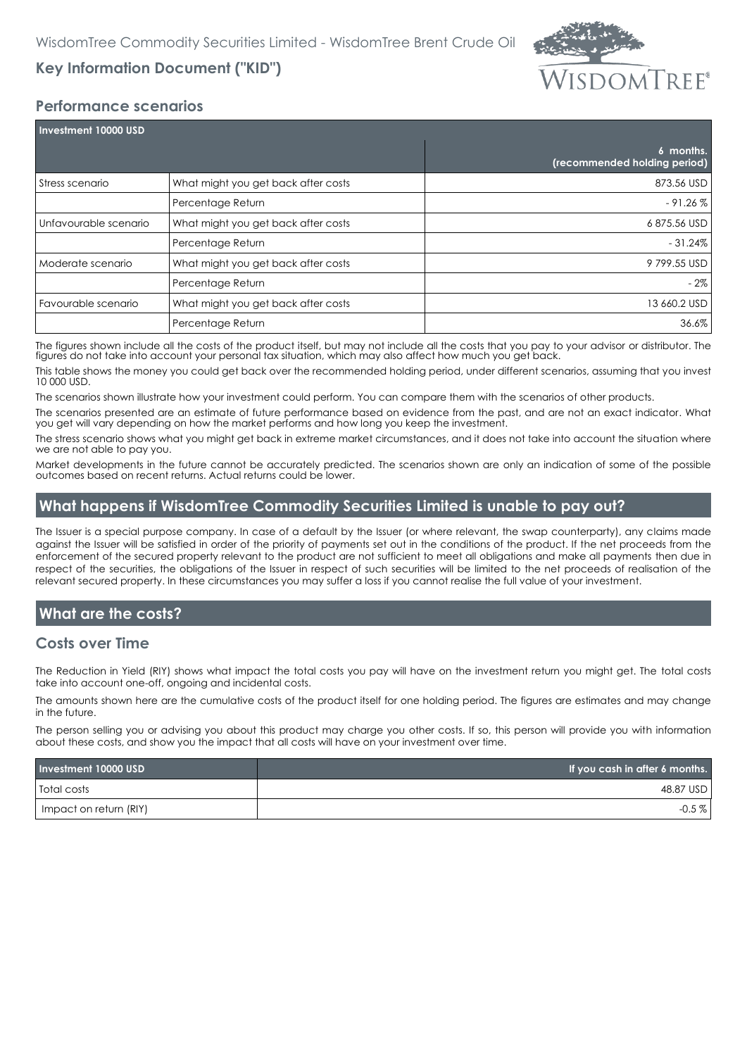

# **Key Information Document ("KID")**

### **Performance scenarios**

| Investment 10000 USD  |                                     |                                           |  |
|-----------------------|-------------------------------------|-------------------------------------------|--|
|                       |                                     | 6 months.<br>(recommended holding period) |  |
| Stress scenario       | What might you get back after costs | 873.56 USD                                |  |
|                       | Percentage Return                   | $-91.26\%$                                |  |
| Unfavourable scenario | What might you get back after costs | 6875.56 USD                               |  |
|                       | Percentage Return                   | $-31.24\%$                                |  |
| Moderate scenario     | What might you get back after costs | 9799.55 USD                               |  |
|                       | Percentage Return                   | - 2%                                      |  |
| Favourable scenario   | What might you get back after costs | 13 660.2 USD                              |  |
|                       | Percentage Return                   | 36.6%                                     |  |

The figures shown include all the costs of the product itself, but may not include all the costs that you pay to your advisor or distributor. The figures do not take into account your personal tax situation, which may also affect how much you get back.

This table shows the money you could get back over the recommended holding period, under different scenarios, assuming that you invest 10 000 USD.

The scenarios shown illustrate how your investment could perform. You can compare them with the scenarios of other products.

The scenarios presented are an estimate of future performance based on evidence from the past, and are not an exact indicator. What you get will vary depending on how the market performs and how long you keep the investment.

The stress scenario shows what you might get back in extreme market circumstances, and it does not take into account the situation where we are not able to pay you.

Market developments in the future cannot be accurately predicted. The scenarios shown are only an indication of some of the possible outcomes based on recent returns. Actual returns could be lower.

## **What happens if WisdomTree Commodity Securities Limited is unable to pay out?**

The Issuer is a special purpose company. In case of a default by the Issuer (or where relevant, the swap counterparty), any claims made against the Issuer will be satisfied in order of the priority of payments set out in the conditions of the product. If the net proceeds from the enforcement of the secured property relevant to the product are not sufficient to meet all obligations and make all payments then due in respect of the securities, the obligations of the Issuer in respect of such securities will be limited to the net proceeds of realisation of the relevant secured property. In these circumstances you may suffer a loss if you cannot realise the full value of your investment.

## **What are the costs?**

#### **Costs over Time**

The Reduction in Yield (RIY) shows what impact the total costs you pay will have on the investment return you might get. The total costs take into account one-off, ongoing and incidental costs.

The amounts shown here are the cumulative costs of the product itself for one holding period. The figures are estimates and may change in the future.

The person selling you or advising you about this product may charge you other costs. If so, this person will provide you with information about these costs, and show you the impact that all costs will have on your investment over time.

| Investment 10000 USD   | If you cash in after 6 months. |
|------------------------|--------------------------------|
| <b>Total costs</b>     | 48.87 USD                      |
| Impact on return (RIY) | $-0.5\%$                       |